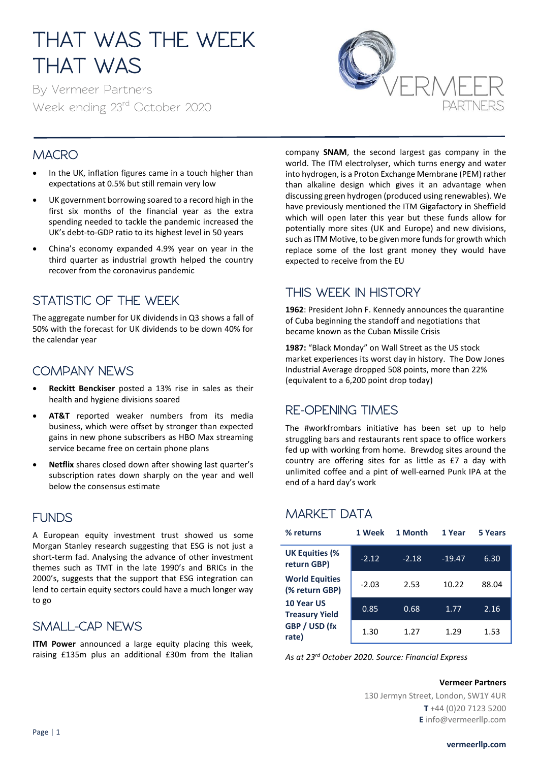# THAT WAS THE WEEK THAT WAS

By Vermeer Partners Week ending 23rd October 2020



## **MACRO**

- In the UK, inflation figures came in a touch higher than expectations at 0.5% but still remain very low
- UK government borrowing soared to a record high in the first six months of the financial year as the extra spending needed to tackle the pandemic increased the UK's debt-to-GDP ratio to its highest level in 50 years
- China's economy expanded 4.9% year on year in the third quarter as industrial growth helped the country recover from the coronavirus pandemic

## STATISTIC OF THE WEEK

The aggregate number for UK dividends in Q3 shows a fall of 50% with the forecast for UK dividends to be down 40% for the calendar year

#### COMPANY NEWS

- **Reckitt Benckiser** posted a 13% rise in sales as their health and hygiene divisions soared
- **AT&T** reported weaker numbers from its media business, which were offset by stronger than expected gains in new phone subscribers as HBO Max streaming service became free on certain phone plans
- **Netflix** shares closed down after showing last quarter's subscription rates down sharply on the year and well below the consensus estimate

#### FUNDS

A European equity investment trust showed us some Morgan Stanley research suggesting that ESG is not just a short-term fad. Analysing the advance of other investment themes such as TMT in the late 1990's and BRICs in the 2000's, suggests that the support that ESG integration can lend to certain equity sectors could have a much longer way to go

#### SMALL-CAP NEWS

**ITM Power** announced a large equity placing this week, raising £135m plus an additional £30m from the Italian company **SNAM**, the second largest gas company in the world. The ITM electrolyser, which turns energy and water into hydrogen, is a Proton Exchange Membrane (PEM) rather than alkaline design which gives it an advantage when discussing green hydrogen (produced using renewables). We have previously mentioned the ITM Gigafactory in Sheffield which will open later this year but these funds allow for potentially more sites (UK and Europe) and new divisions, such as ITM Motive, to be given more funds for growth which replace some of the lost grant money they would have expected to receive from the EU

## THIS WEEK IN HISTORY

**1962**: President John F. Kennedy announces the quarantine of Cuba beginning the standoff and negotiations that became known as the Cuban Missile Crisis

1987: "Black Monday" on Wall Street as the US stock market experiences its worst day in history. The Dow Jones Industrial Average dropped 508 points, more than 22% (equivalent to a 6,200 point drop today)

#### RE-OPENING TIMES

The #workfrombars initiative has been set up to help struggling bars and restaurants rent space to office workers fed up with working from home. Brewdog sites around the country are offering sites for as little as £7 a day with unlimited coffee and a pint of well-earned Punk IPA at the end of a hard day's work

## MARKET DATA

| % returns                               | 1 Week  | 1 Month | 1 Year   | 5 Years |
|-----------------------------------------|---------|---------|----------|---------|
| <b>UK Equities (%</b><br>return GBP)    | $-2.12$ | $-2.18$ | $-19.47$ | 6.30    |
| <b>World Equities</b><br>(% return GBP) | $-2.03$ | 2.53    | 10.22    | 88.04   |
| 10 Year US<br><b>Treasury Yield</b>     | 0.85    | 0.68    | 1.77     | 2.16    |
| GBP / USD (fx<br>rate)                  | 1.30    | 1.27    | 1.29     | 1.53    |

*As at 23rd October 2020. Source: Financial Express*

#### **Vermeer Partners**

130 Jermyn Street, London, SW1Y 4UR **T** +44 (0)20 7123 5200 **E** info@vermeerllp.com